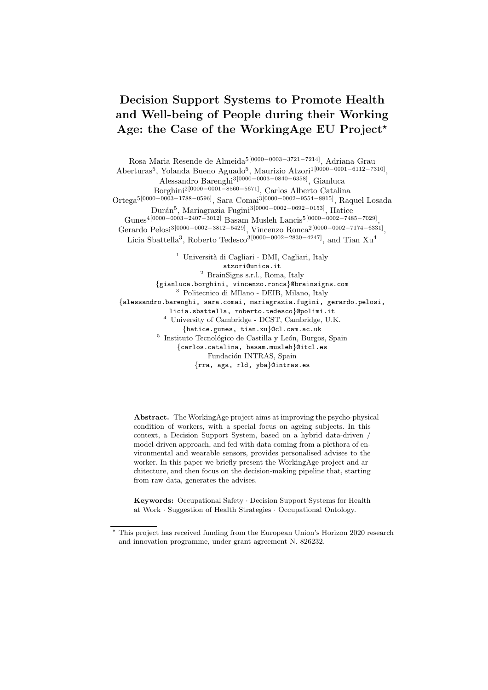# Decision Support Systems to Promote Health and Well-being of People during their Working Age: the Case of the WorkingAge EU Project<sup>\*</sup>

Rosa Maria Resende de Almeida5[0000−0003−3721−7214], Adriana Grau Aberturas<sup>5</sup>, Yolanda Bueno Aguado<sup>5</sup>, Maurizio Atzori<sup>1[0000–0001–6112–7310]<sub>,</sub></sup> Alessandro Barenghi3[0000−0003−0840−6358], Gianluca Borghini2[0000−0001−8560−5671], Carlos Alberto Catalina Ortega5[0000−0003−1788−0596], Sara Comai3[0000−0002−9554−8815], Raquel Losada Durán<sup>5</sup>, Mariagrazia Fugini<sup>3[0000–0002–0692–0153]</sup>, Hatice Gunes4[0000−0003−2407−3012] Basam Musleh Lancis5[0000−0002−7485−7029] , Gerardo Pelosi3[0000−0002−3812−5429], Vincenzo Ronca2[0000−0002−7174−6331] , Licia Sbattella<sup>3</sup>, Roberto Tedesco<sup>3[0000–0002–2830–4247]</sup>, and Tian  $Xu<sup>4</sup>$  $^{\rm 1}$ Università di Cagliari - DMI, Cagliari, Italy atzori@unica.it <sup>2</sup> BrainSigns s.r.l., Roma, Italy {gianluca.borghini, vincenzo.ronca}@brainsigns.com <sup>3</sup> Politecnico di MIlano - DEIB, Milano, Italy {alessandro.barenghi, sara.comai, mariagrazia.fugini, gerardo.pelosi, licia.sbattella, roberto.tedesco}@polimi.it <sup>4</sup> University of Cambridge - DCST, Cambridge, U.K. {hatice.gunes, tian.xu}@cl.cam.ac.uk <sup>5</sup> Instituto Tecnológico de Castilla y León, Burgos, Spain {carlos.catalina, basam.musleh}@itcl.es Fundación INTRAS, Spain {rra, aga, rld, yba}@intras.es

Abstract. The WorkingAge project aims at improving the psycho-physical condition of workers, with a special focus on ageing subjects. In this context, a Decision Support System, based on a hybrid data-driven / model-driven approach, and fed with data coming from a plethora of environmental and wearable sensors, provides personalised advises to the worker. In this paper we briefly present the WorkingAge project and architecture, and then focus on the decision-making pipeline that, starting from raw data, generates the advises.

Keywords: Occupational Safety · Decision Support Systems for Health at Work · Suggestion of Health Strategies · Occupational Ontology.

<sup>?</sup> This project has received funding from the European Union's Horizon 2020 research and innovation programme, under grant agreement N. 826232.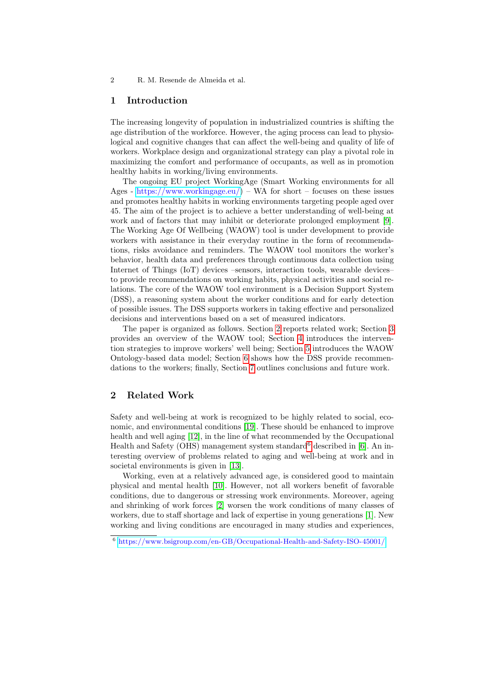## 1 Introduction

The increasing longevity of population in industrialized countries is shifting the age distribution of the workforce. However, the aging process can lead to physiological and cognitive changes that can affect the well-being and quality of life of workers. Workplace design and organizational strategy can play a pivotal role in maximizing the comfort and performance of occupants, as well as in promotion healthy habits in working/living environments.

The ongoing EU project WorkingAge (Smart Working environments for all Ages - [https://www.workingage.eu/\)](https://www.workingage.eu/) – WA for short – focuses on these issues and promotes healthy habits in working environments targeting people aged over 45. The aim of the project is to achieve a better understanding of well-being at work and of factors that may inhibit or deteriorate prolonged employment [\[9\]](#page-11-0). The Working Age Of Wellbeing (WAOW) tool is under development to provide workers with assistance in their everyday routine in the form of recommendations, risks avoidance and reminders. The WAOW tool monitors the worker's behavior, health data and preferences through continuous data collection using Internet of Things (IoT) devices –sensors, interaction tools, wearable devices– to provide recommendations on working habits, physical activities and social relations. The core of the WAOW tool environment is a Decision Support System (DSS), a reasoning system about the worker conditions and for early detection of possible issues. The DSS supports workers in taking effective and personalized decisions and interventions based on a set of measured indicators.

The paper is organized as follows. Section [2](#page-1-0) reports related work; Section [3](#page-2-0) provides an overview of the WAOW tool; Section [4](#page-3-0) introduces the intervention strategies to improve workers' well being; Section [5](#page-4-0) introduces the WAOW Ontology-based data model; Section [6](#page-7-0) shows how the DSS provide recommendations to the workers; finally, Section [7](#page-10-0) outlines conclusions and future work.

## <span id="page-1-0"></span>2 Related Work

Safety and well-being at work is recognized to be highly related to social, economic, and environmental conditions [\[19\]](#page-11-1). These should be enhanced to improve health and well aging [\[12\]](#page-11-2), in the line of what recommended by the Occupational Health and Safety (OHS) management system standard<sup>[6](#page-1-1)</sup> described in [\[6\]](#page-11-3). An interesting overview of problems related to aging and well-being at work and in societal environments is given in [\[13\]](#page-11-4).

Working, even at a relatively advanced age, is considered good to maintain physical and mental health [\[10\]](#page-11-5). However, not all workers benefit of favorable conditions, due to dangerous or stressing work environments. Moreover, ageing and shrinking of work forces [\[2\]](#page-10-1) worsen the work conditions of many classes of workers, due to staff shortage and lack of expertise in young generations [\[1\]](#page-10-2). New working and living conditions are encouraged in many studies and experiences,

<span id="page-1-1"></span><sup>6</sup> <https://www.bsigroup.com/en-GB/Occupational-Health-and-Safety-ISO-45001/>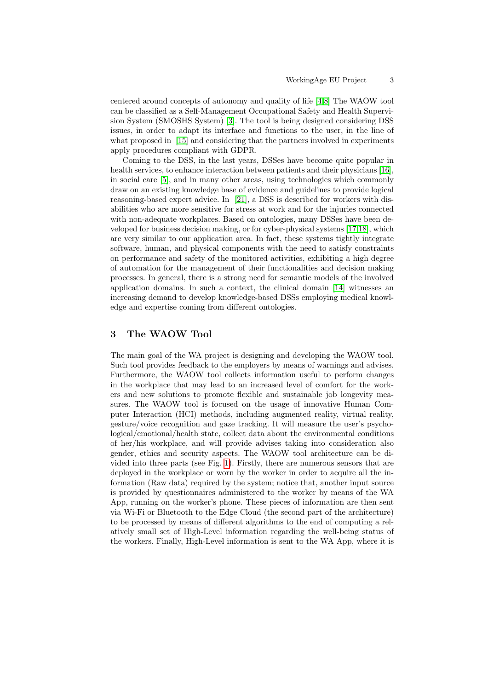centered around concepts of autonomy and quality of life [\[4,](#page-10-3)[8\]](#page-11-6) The WAOW tool can be classified as a Self-Management Occupational Safety and Health Supervision System (SMOSHS System) [\[3\]](#page-10-4). The tool is being designed considering DSS issues, in order to adapt its interface and functions to the user, in the line of what proposed in [\[15\]](#page-11-7) and considering that the partners involved in experiments apply procedures compliant with GDPR.

Coming to the DSS, in the last years, DSSes have become quite popular in health services, to enhance interaction between patients and their physicians [\[16\]](#page-11-8), in social care [\[5\]](#page-10-5), and in many other areas, using technologies which commonly draw on an existing knowledge base of evidence and guidelines to provide logical reasoning-based expert advice. In [\[21\]](#page-11-9), a DSS is described for workers with disabilities who are more sensitive for stress at work and for the injuries connected with non-adequate workplaces. Based on ontologies, many DSSes have been developed for business decision making, or for cyber-physical systems [\[17,](#page-11-10)[18\]](#page-11-11), which are very similar to our application area. In fact, these systems tightly integrate software, human, and physical components with the need to satisfy constraints on performance and safety of the monitored activities, exhibiting a high degree of automation for the management of their functionalities and decision making processes. In general, there is a strong need for semantic models of the involved application domains. In such a context, the clinical domain [\[14\]](#page-11-12) witnesses an increasing demand to develop knowledge-based DSSs employing medical knowledge and expertise coming from different ontologies.

## <span id="page-2-0"></span>3 The WAOW Tool

The main goal of the WA project is designing and developing the WAOW tool. Such tool provides feedback to the employers by means of warnings and advises. Furthermore, the WAOW tool collects information useful to perform changes in the workplace that may lead to an increased level of comfort for the workers and new solutions to promote flexible and sustainable job longevity measures. The WAOW tool is focused on the usage of innovative Human Computer Interaction (HCI) methods, including augmented reality, virtual reality, gesture/voice recognition and gaze tracking. It will measure the user's psychological/emotional/health state, collect data about the environmental conditions of her/his workplace, and will provide advises taking into consideration also gender, ethics and security aspects. The WAOW tool architecture can be divided into three parts (see Fig. [1\)](#page-3-1). Firstly, there are numerous sensors that are deployed in the workplace or worn by the worker in order to acquire all the information (Raw data) required by the system; notice that, another input source is provided by questionnaires administered to the worker by means of the WA App, running on the worker's phone. These pieces of information are then sent via Wi-Fi or Bluetooth to the Edge Cloud (the second part of the architecture) to be processed by means of different algorithms to the end of computing a relatively small set of High-Level information regarding the well-being status of the workers. Finally, High-Level information is sent to the WA App, where it is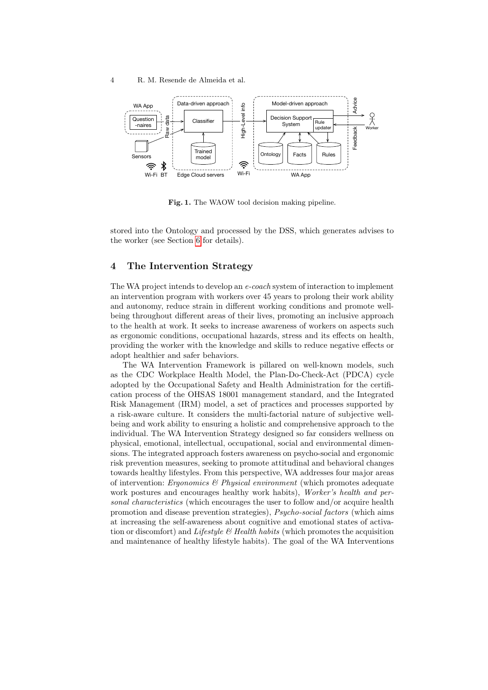

<span id="page-3-1"></span>Fig. 1. The WAOW tool decision making pipeline.

stored into the Ontology and processed by the DSS, which generates advises to the worker (see Section [6](#page-7-0) for details).

## <span id="page-3-0"></span>4 The Intervention Strategy

The WA project intends to develop an e-coach system of interaction to implement an intervention program with workers over 45 years to prolong their work ability and autonomy, reduce strain in different working conditions and promote wellbeing throughout different areas of their lives, promoting an inclusive approach to the health at work. It seeks to increase awareness of workers on aspects such as ergonomic conditions, occupational hazards, stress and its effects on health, providing the worker with the knowledge and skills to reduce negative effects or adopt healthier and safer behaviors.

The WA Intervention Framework is pillared on well-known models, such as the CDC Workplace Health Model, the Plan-Do-Check-Act (PDCA) cycle adopted by the Occupational Safety and Health Administration for the certification process of the OHSAS 18001 management standard, and the Integrated Risk Management (IRM) model, a set of practices and processes supported by a risk-aware culture. It considers the multi-factorial nature of subjective wellbeing and work ability to ensuring a holistic and comprehensive approach to the individual. The WA Intervention Strategy designed so far considers wellness on physical, emotional, intellectual, occupational, social and environmental dimensions. The integrated approach fosters awareness on psycho-social and ergonomic risk prevention measures, seeking to promote attitudinal and behavioral changes towards healthy lifestyles. From this perspective, WA addresses four major areas of intervention: Ergonomics & Physical environment (which promotes adequate work postures and encourages healthy work habits), *Worker's health and per*sonal characteristics (which encourages the user to follow and/or acquire health promotion and disease prevention strategies), Psycho-social factors (which aims at increasing the self-awareness about cognitive and emotional states of activation or discomfort) and Lifestyle  $\mathcal C$  Health habits (which promotes the acquisition and maintenance of healthy lifestyle habits). The goal of the WA Interventions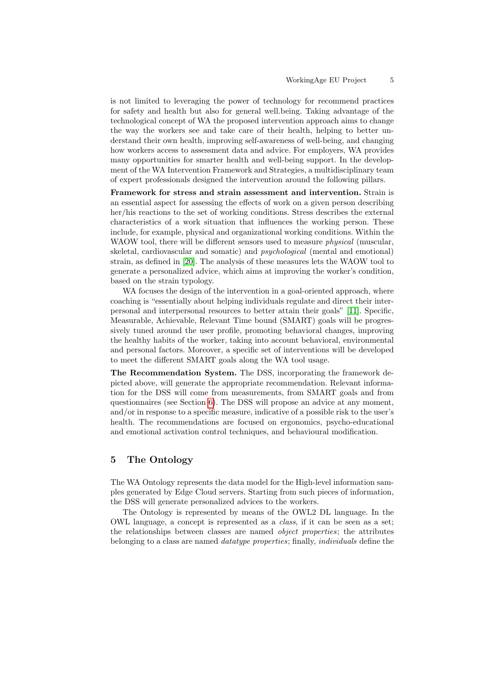is not limited to leveraging the power of technology for recommend practices for safety and health but also for general well.being. Taking advantage of the technological concept of WA the proposed intervention approach aims to change the way the workers see and take care of their health, helping to better understand their own health, improving self-awareness of well-being, and changing how workers access to assessment data and advice. For employers, WA provides many opportunities for smarter health and well-being support. In the development of the WA Intervention Framework and Strategies, a multidisciplinary team of expert professionals designed the intervention around the following pillars.

Framework for stress and strain assessment and intervention. Strain is an essential aspect for assessing the effects of work on a given person describing her/his reactions to the set of working conditions. Stress describes the external characteristics of a work situation that influences the working person. These include, for example, physical and organizational working conditions. Within the WAOW tool, there will be different sensors used to measure *physical* (muscular, skeletal, cardiovascular and somatic) and psychological (mental and emotional) strain, as defined in [\[20\]](#page-11-13). The analysis of these measures lets the WAOW tool to generate a personalized advice, which aims at improving the worker's condition, based on the strain typology.

WA focuses the design of the intervention in a goal-oriented approach, where coaching is "essentially about helping individuals regulate and direct their interpersonal and interpersonal resources to better attain their goals" [\[11\]](#page-11-14). Specific, Measurable, Achievable, Relevant Time bound (SMART) goals will be progressively tuned around the user profile, promoting behavioral changes, improving the healthy habits of the worker, taking into account behavioral, environmental and personal factors. Moreover, a specific set of interventions will be developed to meet the different SMART goals along the WA tool usage.

The Recommendation System. The DSS, incorporating the framework depicted above, will generate the appropriate recommendation. Relevant information for the DSS will come from measurements, from SMART goals and from questionnaires (see Section [6\)](#page-7-0). The DSS will propose an advice at any moment, and/or in response to a specific measure, indicative of a possible risk to the user's health. The recommendations are focused on ergonomics, psycho-educational and emotional activation control techniques, and behavioural modification.

## <span id="page-4-0"></span>5 The Ontology

The WA Ontology represents the data model for the High-level information samples generated by Edge Cloud servers. Starting from such pieces of information, the DSS will generate personalized advices to the workers.

The Ontology is represented by means of the OWL2 DL language. In the OWL language, a concept is represented as a class, if it can be seen as a set; the relationships between classes are named object properties; the attributes belonging to a class are named datatype properties; finally, individuals define the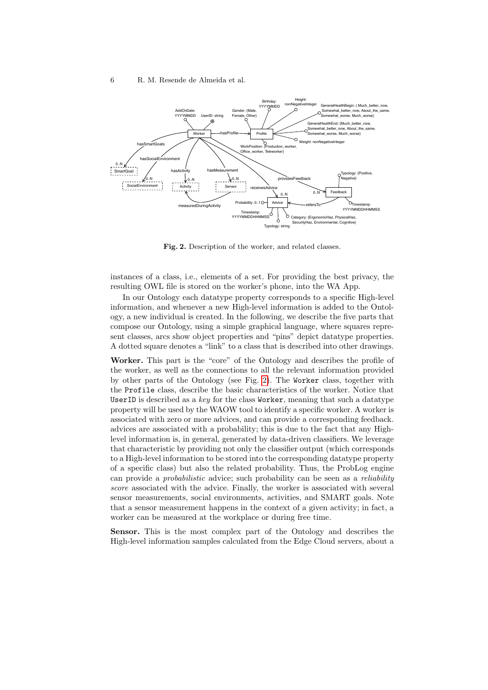

<span id="page-5-0"></span>Fig. 2. Description of the worker, and related classes.

instances of a class, i.e., elements of a set. For providing the best privacy, the resulting OWL file is stored on the worker's phone, into the WA App.

In our Ontology each datatype property corresponds to a specific High-level information, and whenever a new High-level information is added to the Ontology, a new individual is created. In the following, we describe the five parts that compose our Ontology, using a simple graphical language, where squares represent classes, arcs show object properties and "pins" depict datatype properties. A dotted square denotes a "link" to a class that is described into other drawings.

Worker. This part is the "core" of the Ontology and describes the profile of the worker, as well as the connections to all the relevant information provided by other parts of the Ontology (see Fig. [2\)](#page-5-0). The Worker class, together with the Profile class, describe the basic characteristics of the worker. Notice that UserID is described as a key for the class Worker, meaning that such a datatype property will be used by the WAOW tool to identify a specific worker. A worker is associated with zero or more advices, and can provide a corresponding feedback. advices are associated with a probability; this is due to the fact that any Highlevel information is, in general, generated by data-driven classifiers. We leverage that characteristic by providing not only the classifier output (which corresponds to a High-level information to be stored into the corresponding datatype property of a specific class) but also the related probability. Thus, the ProbLog engine can provide a probabilistic advice; such probability can be seen as a reliability score associated with the advice. Finally, the worker is associated with several sensor measurements, social environments, activities, and SMART goals. Note that a sensor measurement happens in the context of a given activity; in fact, a worker can be measured at the workplace or during free time.

Sensor. This is the most complex part of the Ontology and describes the High-level information samples calculated from the Edge Cloud servers, about a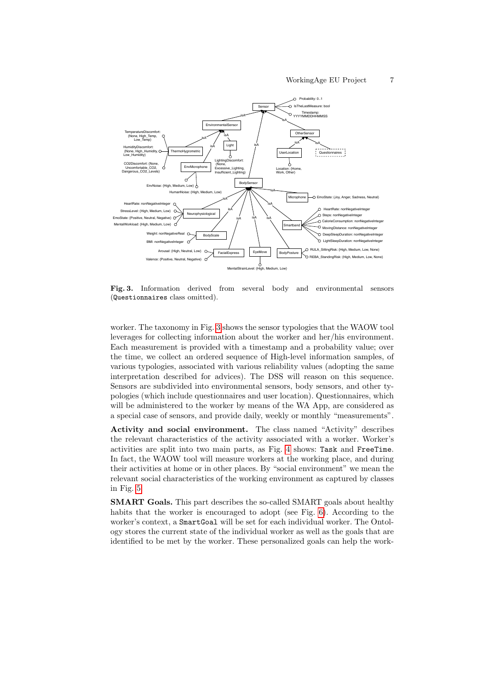

<span id="page-6-0"></span>Fig. 3. Information derived from several body and environmental sensors  $(Q$ uestionnaires class omitted).

DaLO\QXHVWLRQQaLUHBHIRUHWRUN  $\mathcal{O}$  $\frac{1}{2}$  typologies, associated w  $\sim$ Each measurement is provided with a timestamp and a probability value; over sequence of High-level information sampl various typologies, associated with various reliability values (adopting the same  $\log$  and  $\log$  that the WAOW too leverages for collecting information about the worker and her/his environment. the time, we collect an ordered sequence of High-level information samples, of worker. The taxonomy in Fig. [3](#page-6-0) shows the sensor typologies that the WAOW tool interpretation described for advices). The DSS will reason on this sequence. Sensors are subdivided into environmental sensors, body sensors, and other typologies (which include questionnaires and user location). Questionnaires, which will be administered to the worker by means of the WA App, are considered as a special case of sensors, and provide daily, weekly or monthly "measurements".

Activity and social environment. The class named "Activity" describes the relevant characteristics of the activity associated with a worker. Worker's activities are split into two main parts, as Fig. [4](#page-7-1) shows: Task and FreeTime. In fact, the WAOW tool will measure workers at the working place, and during their activities at home or in other places. By "social environment" we mean the relevant social characteristics of the working environment as captured by classes in Fig. [5.](#page-7-2)

SMART Goals. This part describes the so-called SMART goals about healthy habits that the worker is encouraged to adopt (see Fig. [6\)](#page-8-0). According to the worker's context, a SmartGoal will be set for each individual worker. The Ontology stores the current state of the individual worker as well as the goals that are identified to be met by the worker. These personalized goals can help the work-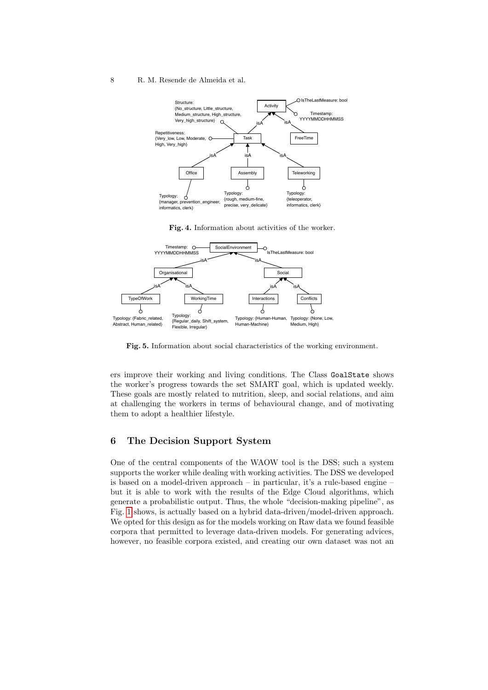

<span id="page-7-1"></span>Fig. 4. Information about activities of the worker.



<span id="page-7-2"></span>Fig. 5. Information about social characteristics of the working environment.

ers improve their working and living conditions. The Class GoalState shows the worker's progress towards the set SMART goal, which is updated weekly. These goals are mostly related to nutrition, sleep, and social relations, and aim at challenging the workers in terms of behavioural change, and of motivating them to adopt a healthier lifestyle.

## <span id="page-7-0"></span>6 The Decision Support System

One of the central components of the WAOW tool is the DSS; such a system supports the worker while dealing with working activities. The DSS we developed is based on a model-driven approach – in particular, it's a rule-based engine – but it is able to work with the results of the Edge Cloud algorithms, which generate a probabilistic output. Thus, the whole "decision-making pipeline", as Fig. [1](#page-3-1) shows, is actually based on a hybrid data-driven/model-driven approach. We opted for this design as for the models working on Raw data we found feasible corpora that permitted to leverage data-driven models. For generating advices, however, no feasible corpora existed, and creating our own dataset was not an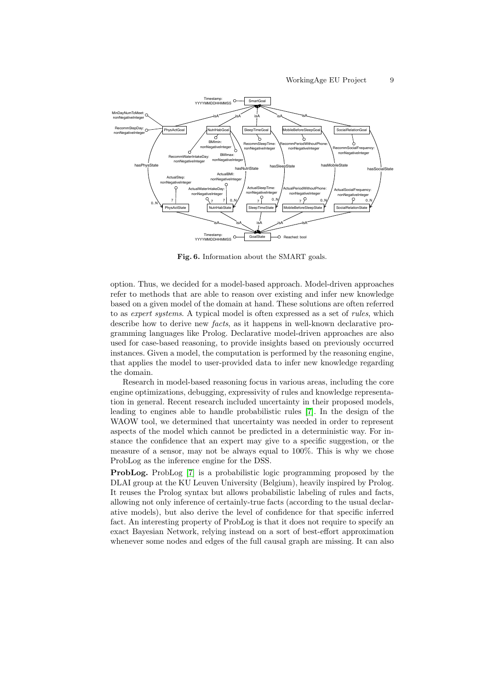

<span id="page-8-0"></span>Fig. 6. Information about the SMART goals.

option. Thus, we decided for a model-based approach. Model-driven approaches refer to methods that are able to reason over existing and infer new knowledge based on a given model of the domain at hand. These solutions are often referred to as expert systems. A typical model is often expressed as a set of rules, which describe how to derive new facts, as it happens in well-known declarative programming languages like Prolog. Declarative model-driven approaches are also used for case-based reasoning, to provide insights based on previously occurred instances. Given a model, the computation is performed by the reasoning engine, that applies the model to user-provided data to infer new knowledge regarding the domain.

Research in model-based reasoning focus in various areas, including the core engine optimizations, debugging, expressivity of rules and knowledge representation in general. Recent research included uncertainty in their proposed models, leading to engines able to handle probabilistic rules [\[7\]](#page-11-15). In the design of the WAOW tool, we determined that uncertainty was needed in order to represent aspects of the model which cannot be predicted in a deterministic way. For instance the confidence that an expert may give to a specific suggestion, or the measure of a sensor, may not be always equal to 100%. This is why we chose ProbLog as the inference engine for the DSS.

ProbLog. ProbLog [\[7\]](#page-11-15) is a probabilistic logic programming proposed by the DLAI group at the KU Leuven University (Belgium), heavily inspired by Prolog. It reuses the Prolog syntax but allows probabilistic labeling of rules and facts, allowing not only inference of certainly-true facts (according to the usual declarative models), but also derive the level of confidence for that specific inferred fact. An interesting property of ProbLog is that it does not require to specify an exact Bayesian Network, relying instead on a sort of best-effort approximation whenever some nodes and edges of the full causal graph are missing. It can also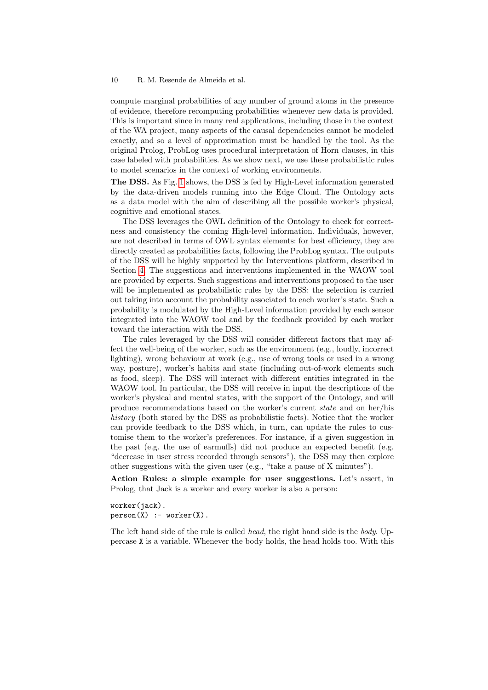compute marginal probabilities of any number of ground atoms in the presence of evidence, therefore recomputing probabilities whenever new data is provided. This is important since in many real applications, including those in the context of the WA project, many aspects of the causal dependencies cannot be modeled exactly, and so a level of approximation must be handled by the tool. As the original Prolog, ProbLog uses procedural interpretation of Horn clauses, in this case labeled with probabilities. As we show next, we use these probabilistic rules to model scenarios in the context of working environments.

The DSS. As Fig. [1](#page-3-1) shows, the DSS is fed by High-Level information generated by the data-driven models running into the Edge Cloud. The Ontology acts as a data model with the aim of describing all the possible worker's physical, cognitive and emotional states.

The DSS leverages the OWL definition of the Ontology to check for correctness and consistency the coming High-level information. Individuals, however, are not described in terms of OWL syntax elements: for best efficiency, they are directly created as probabilities facts, following the ProbLog syntax. The outputs of the DSS will be highly supported by the Interventions platform, described in Section [4.](#page-3-0) The suggestions and interventions implemented in the WAOW tool are provided by experts. Such suggestions and interventions proposed to the user will be implemented as probabilistic rules by the DSS: the selection is carried out taking into account the probability associated to each worker's state. Such a probability is modulated by the High-Level information provided by each sensor integrated into the WAOW tool and by the feedback provided by each worker toward the interaction with the DSS.

The rules leveraged by the DSS will consider different factors that may affect the well-being of the worker, such as the environment (e.g., loudly, incorrect lighting), wrong behaviour at work (e.g., use of wrong tools or used in a wrong way, posture), worker's habits and state (including out-of-work elements such as food, sleep). The DSS will interact with different entities integrated in the WAOW tool. In particular, the DSS will receive in input the descriptions of the worker's physical and mental states, with the support of the Ontology, and will produce recommendations based on the worker's current state and on her/his history (both stored by the DSS as probabilistic facts). Notice that the worker can provide feedback to the DSS which, in turn, can update the rules to customise them to the worker's preferences. For instance, if a given suggestion in the past (e.g. the use of earmuffs) did not produce an expected benefit (e.g. "decrease in user stress recorded through sensors"), the DSS may then explore other suggestions with the given user (e.g., "take a pause of X minutes").

Action Rules: a simple example for user suggestions. Let's assert, in Prolog, that Jack is a worker and every worker is also a person:

worker(jack).  $person(X) :- worker(X).$ 

The left hand side of the rule is called *head*, the right hand side is the *body*. Uppercase X is a variable. Whenever the body holds, the head holds too. With this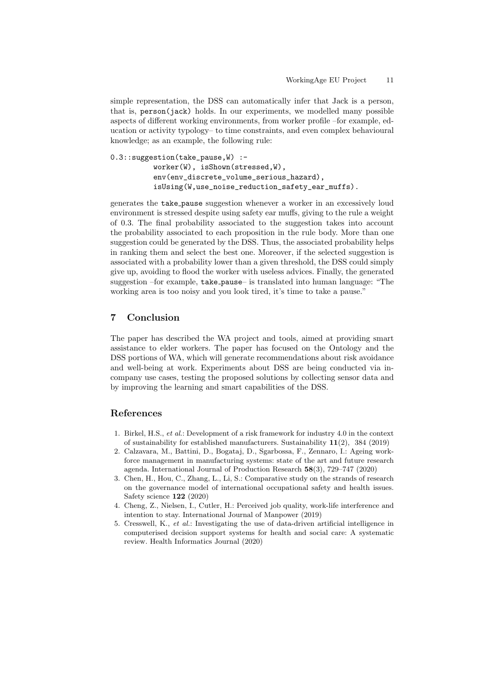simple representation, the DSS can automatically infer that Jack is a person, that is, person(jack) holds. In our experiments, we modelled many possible aspects of different working environments, from worker profile –for example, education or activity typology– to time constraints, and even complex behavioural knowledge; as an example, the following rule:

```
0.3::suggestion(take_pause,W) :-
worker(W), isShown(stressed,W),
env(env_discrete_volume_serious_hazard),
isUsing(W,use_noise_reduction_safety_ear_muffs).
```
generates the take pause suggestion whenever a worker in an excessively loud environment is stressed despite using safety ear muffs, giving to the rule a weight of 0.3. The final probability associated to the suggestion takes into account the probability associated to each proposition in the rule body. More than one suggestion could be generated by the DSS. Thus, the associated probability helps in ranking them and select the best one. Moreover, if the selected suggestion is associated with a probability lower than a given threshold, the DSS could simply give up, avoiding to flood the worker with useless advices. Finally, the generated suggestion –for example, take pause– is translated into human language: "The working area is too noisy and you look tired, it's time to take a pause."

# <span id="page-10-0"></span>7 Conclusion

The paper has described the WA project and tools, aimed at providing smart assistance to elder workers. The paper has focused on the Ontology and the DSS portions of WA, which will generate recommendations about risk avoidance and well-being at work. Experiments about DSS are being conducted via incompany use cases, testing the proposed solutions by collecting sensor data and by improving the learning and smart capabilities of the DSS.

## References

- <span id="page-10-2"></span>1. Birkel, H.S., et al.: Development of a risk framework for industry 4.0 in the context of sustainability for established manufacturers. Sustainability 11(2), 384 (2019)
- <span id="page-10-1"></span>2. Calzavara, M., Battini, D., Bogataj, D., Sgarbossa, F., Zennaro, I.: Ageing workforce management in manufacturing systems: state of the art and future research agenda. International Journal of Production Research 58(3), 729–747 (2020)
- <span id="page-10-4"></span>3. Chen, H., Hou, C., Zhang, L., Li, S.: Comparative study on the strands of research on the governance model of international occupational safety and health issues. Safety science 122 (2020)
- <span id="page-10-3"></span>4. Cheng, Z., Nielsen, I., Cutler, H.: Perceived job quality, work-life interference and intention to stay. International Journal of Manpower (2019)
- <span id="page-10-5"></span>5. Cresswell, K., et al.: Investigating the use of data-driven artificial intelligence in computerised decision support systems for health and social care: A systematic review. Health Informatics Journal (2020)